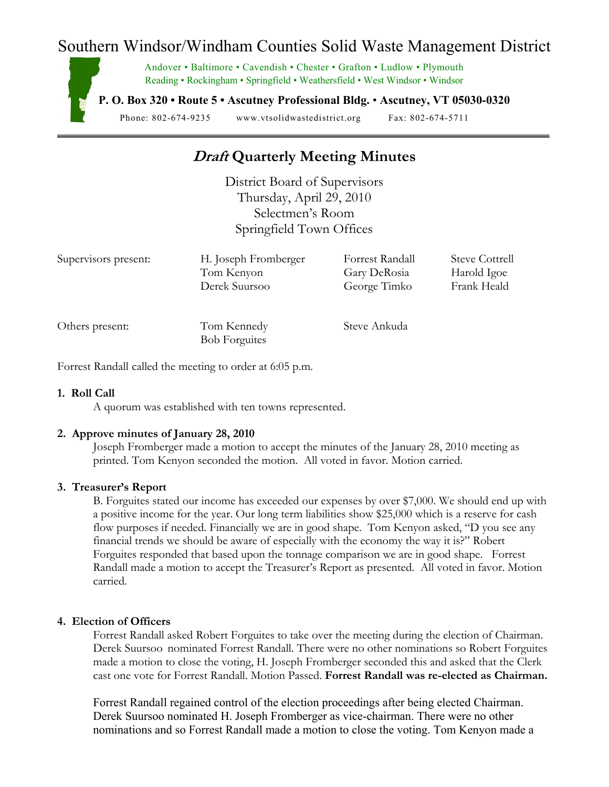## Southern Windsor/Windham Counties Solid Waste Management District

Andover • Baltimore • Cavendish • Chester • Grafton • Ludlow • Plymouth Reading • Rockingham • Springfield • Weathersfield • West Windsor • Windsor

**P. O. Box 320 • Route 5 • Ascutney Professional Bldg.** • **Ascutney, VT 05030-0320** 

Phone: 802-674-9235 www.vtsolidwastedistrict.org Fax: 802-674-5711

## **Draft Quarterly Meeting Minutes**

District Board of Supervisors Thursday, April 29, 2010 Selectmen's Room Springfield Town Offices

| Supervisors present: | H. Joseph Fromberger                | Forrest Randall | <b>Steve Cottrell</b> |
|----------------------|-------------------------------------|-----------------|-----------------------|
|                      | Tom Kenyon                          | Gary DeRosia    | Harold Igoe           |
|                      | Derek Suursoo                       | George Timko    | Frank Heald           |
| Others present:      | Tom Kennedy<br><b>Bob Forguites</b> | Steve Ankuda    |                       |

Forrest Randallcalled the meeting to order at 6:05 p.m.

#### **1. Roll Call**

A quorum was established with ten towns represented.

## **2. Approve minutes of January 28, 2010**

Joseph Fromberger made a motion to accept the minutes of the January 28, 2010 meeting as printed. Tom Kenyon seconded the motion. All voted in favor. Motion carried.

#### **3. Treasurer's Report**

B. Forguites stated our income has exceeded our expenses by over \$7,000. We should end up with a positive income for the year. Our long term liabilities show \$25,000 which is a reserve for cash flow purposes if needed. Financially we are in good shape. Tom Kenyon asked, "D you see any financial trends we should be aware of especially with the economy the way it is?" Robert Forguites responded that based upon the tonnage comparison we are in good shape. Forrest Randall made a motion to accept the Treasurer's Report as presented. All voted in favor. Motion carried.

#### **4. Election of Officers**

Forrest Randall asked Robert Forguites to take over the meeting during the election of Chairman. Derek Suursoo nominated Forrest Randall. There were no other nominations so Robert Forguites made a motion to close the voting, H. Joseph Fromberger seconded this and asked that the Clerk cast one vote for Forrest Randall. Motion Passed. **Forrest Randall was re-elected as Chairman.** 

 Forrest Randall regained control of the election proceedings after being elected Chairman. Derek Suursoo nominated H. Joseph Fromberger as vice-chairman. There were no other nominations and so Forrest Randall made a motion to close the voting. Tom Kenyon made a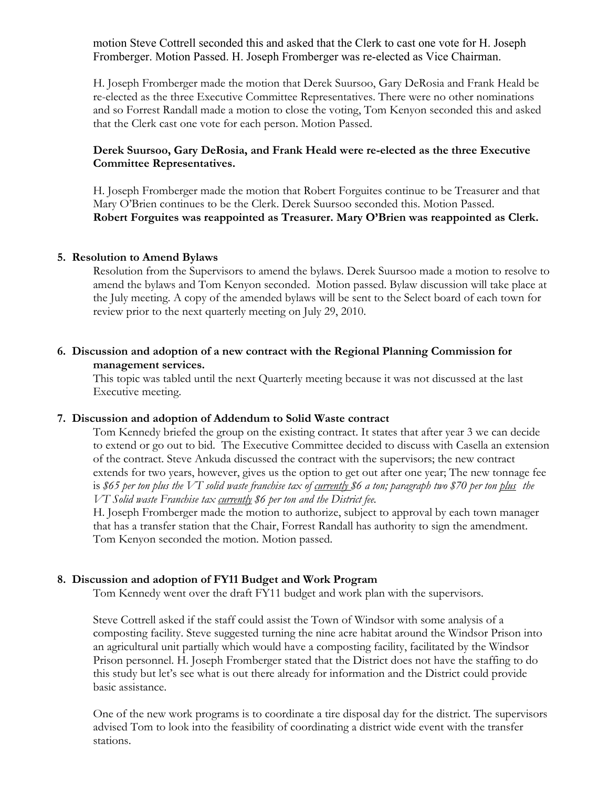motion Steve Cottrell seconded this and asked that the Clerk to cast one vote for H. Joseph Fromberger. Motion Passed. H. Joseph Fromberger was re-elected as Vice Chairman.

 H. Joseph Fromberger made the motion that Derek Suursoo, Gary DeRosia and Frank Heald be re-elected as the three Executive Committee Representatives. There were no other nominations and so Forrest Randall made a motion to close the voting, Tom Kenyon seconded this and asked that the Clerk cast one vote for each person. Motion Passed.

## **Derek Suursoo, Gary DeRosia, and Frank Heald were re-elected as the three Executive Committee Representatives.**

 H. Joseph Fromberger made the motion that Robert Forguites continue to be Treasurer and that Mary O'Brien continues to be the Clerk. Derek Suursoo seconded this. Motion Passed. **Robert Forguites was reappointed as Treasurer. Mary O'Brien was reappointed as Clerk.**

#### **5. Resolution to Amend Bylaws**

Resolution from the Supervisors to amend the bylaws. Derek Suursoo made a motion to resolve to amend the bylaws and Tom Kenyon seconded. Motion passed. Bylaw discussion will take place at the July meeting. A copy of the amended bylaws will be sent to the Select board of each town for review prior to the next quarterly meeting on July 29, 2010.

### **6. Discussion and adoption of a new contract with the Regional Planning Commission for management services.**

This topic was tabled until the next Quarterly meeting because it was not discussed at the last Executive meeting.

#### **7. Discussion and adoption of Addendum to Solid Waste contract**

Tom Kennedy briefed the group on the existing contract. It states that after year 3 we can decide to extend or go out to bid. The Executive Committee decided to discuss with Casella an extension of the contract. Steve Ankuda discussed the contract with the supervisors; the new contract extends for two years, however, gives us the option to get out after one year; The new tonnage fee is *\$65 per ton plus the VT solid waste franchise tax of currently \$6 a ton; paragraph two \$70 per ton plus the VT Solid waste Franchise tax currently \$6 per ton and the District fee.*

 H. Joseph Fromberger made the motion to authorize, subject to approval by each town manager that has a transfer station that the Chair, Forrest Randall has authority to sign the amendment. Tom Kenyon seconded the motion. Motion passed.

## **8. Discussion and adoption of FY11 Budget and Work Program**

Tom Kennedy went over the draft FY11 budget and work plan with the supervisors.

 Steve Cottrell asked if the staff could assist the Town of Windsor with some analysis of a composting facility. Steve suggested turning the nine acre habitat around the Windsor Prison into an agricultural unit partially which would have a composting facility, facilitated by the Windsor Prison personnel. H. Joseph Fromberger stated that the District does not have the staffing to do this study but let's see what is out there already for information and the District could provide basic assistance.

 One of the new work programs is to coordinate a tire disposal day for the district. The supervisors advised Tom to look into the feasibility of coordinating a district wide event with the transfer stations.